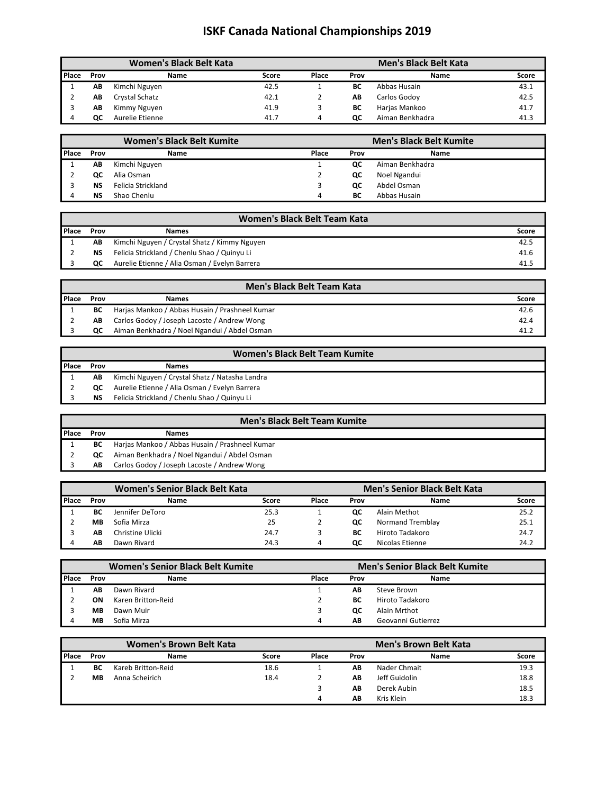|       |      | Women's Black Belt Kata |       |       |      | <b>Men's Black Belt Kata</b> |       |
|-------|------|-------------------------|-------|-------|------|------------------------------|-------|
| Place | Prov | Name                    | Score | Place | Prov | Name                         | Score |
|       | AΒ   | Kimchi Nguyen           | 42.5  |       | ВC   | Abbas Husain                 | 43.1  |
|       | АΒ   | Crystal Schatz          | 42.1  |       | AB   | Carlos Godoy                 | 42.5  |
|       | АΒ   | Kimmy Nguyen            | 41.9  |       | ВC   | Harjas Mankoo                | 41.7  |
|       | ОC   | Aurelie Etienne         | 41.7  | 4     | QC   | Aiman Benkhadra              | 41.3  |

|         | <b>Women's Black Belt Kumite</b> |                    |       | <b>Men's Black Belt Kumite</b> |                 |  |
|---------|----------------------------------|--------------------|-------|--------------------------------|-----------------|--|
| l Place | Prov                             | Name               | Place | Prov                           | Name            |  |
|         | AB                               | Kimchi Nguyen      |       | QC                             | Aiman Benkhadra |  |
|         | QC                               | Alia Osman         |       | QC                             | Noel Ngandui    |  |
|         | ΝS                               | Felicia Strickland | ∍     | QC                             | Abdel Osman     |  |
|         | ΝS                               | Shao Chenlu        | 4     | ВC                             | Abbas Husain    |  |

|       | Women's Black Belt Team Kata |                                               |       |  |  |  |  |
|-------|------------------------------|-----------------------------------------------|-------|--|--|--|--|
| Place | Prov                         | <b>Names</b>                                  | Score |  |  |  |  |
|       | AB                           | Kimchi Nguyen / Crystal Shatz / Kimmy Nguyen  | 42.5  |  |  |  |  |
|       | <b>NS</b>                    | Felicia Strickland / Chenlu Shao / Quinyu Li  | 41.6  |  |  |  |  |
|       | QC.                          | Aurelie Etienne / Alia Osman / Evelyn Barrera | 41.5  |  |  |  |  |

|                | <b>Men's Black Belt Team Kata</b> |                                                |       |  |  |  |  |
|----------------|-----------------------------------|------------------------------------------------|-------|--|--|--|--|
| <b>I</b> Place | Prov                              | <b>Names</b>                                   | Score |  |  |  |  |
|                | ВC                                | Harjas Mankoo / Abbas Husain / Prashneel Kumar | 42.6  |  |  |  |  |
|                | AB.                               | Carlos Godoy / Joseph Lacoste / Andrew Wong    | 42.4  |  |  |  |  |
|                | QC.                               | Aiman Benkhadra / Noel Ngandui / Abdel Osman   | 41.2  |  |  |  |  |

|                | Women's Black Belt Team Kumite |                                                |  |  |  |  |  |
|----------------|--------------------------------|------------------------------------------------|--|--|--|--|--|
| <b>I</b> Place | Prov                           | <b>Names</b>                                   |  |  |  |  |  |
|                | AB                             | Kimchi Nguyen / Crystal Shatz / Natasha Landra |  |  |  |  |  |
|                | OC.                            | Aurelie Etienne / Alia Osman / Evelyn Barrera  |  |  |  |  |  |
|                | ΝS                             | Felicia Strickland / Chenlu Shao / Quinyu Li   |  |  |  |  |  |

### Men's Black Belt Team Kumite

| Place | Prov | <b>Names</b>                                   |
|-------|------|------------------------------------------------|
|       | BC   | Harjas Mankoo / Abbas Husain / Prashneel Kumar |
|       | OC.  | Aiman Benkhadra / Noel Ngandui / Abdel Osman   |
|       | AB.  | Carlos Godoy / Joseph Lacoste / Andrew Wong    |

|         |      | <b>Women's Senior Black Belt Kata</b> |       |       |      | <b>Men's Senior Black Belt Kata</b> |       |
|---------|------|---------------------------------------|-------|-------|------|-------------------------------------|-------|
| l Place | Prov | Name                                  | Score | Place | Prov | Name                                | Score |
|         | ВC   | Jennifer DeToro                       | 25.3  |       | QC   | Alain Methot                        | 25.2  |
|         | MB   | Sofia Mirza                           | 25    |       | QC   | Normand Tremblay                    | 25.1  |
|         | AB   | Christine Ulicki                      | 24.7  |       | ВC   | Hiroto Tadakoro                     | 24.7  |
|         | AΒ   | Dawn Rivard                           | 24.3  | 4     | oc   | Nicolas Etienne                     | 24.2  |

|         | Women's Senior Black Belt Kumite |                    |       | <b>Men's Senior Black Belt Kumite</b> |                    |  |
|---------|----------------------------------|--------------------|-------|---------------------------------------|--------------------|--|
| l Place | Prov                             | Name               | Place | Prov                                  | Name               |  |
|         | AB                               | Dawn Rivard        |       | AB                                    | Steve Brown        |  |
|         | ΟN                               | Karen Britton-Reid |       | ВC                                    | Hiroto Tadakoro    |  |
|         | MВ                               | Dawn Muir          |       | QC                                    | Alain Mrthot       |  |
|         | MВ                               | Sofia Mirza        | 4     | ΑB                                    | Geovanni Gutierrez |  |

|         |           | Women's Brown Belt Kata |       |       |      | <b>Men's Brown Belt Kata</b> |       |
|---------|-----------|-------------------------|-------|-------|------|------------------------------|-------|
| l Place | Prov      | Name                    | Score | Place | Prov | Name                         | Score |
|         | ВC        | Kareb Britton-Reid      | 18.6  |       | AB   | Nader Chmait                 | 19.3  |
|         | <b>MB</b> | Anna Scheirich          | 18.4  |       | AB   | Jeff Guidolin                | 18.8  |
|         |           |                         |       | ∍     | AB   | Derek Aubin                  | 18.5  |
|         |           |                         |       | Δ     | AB   | Kris Klein                   | 18.3  |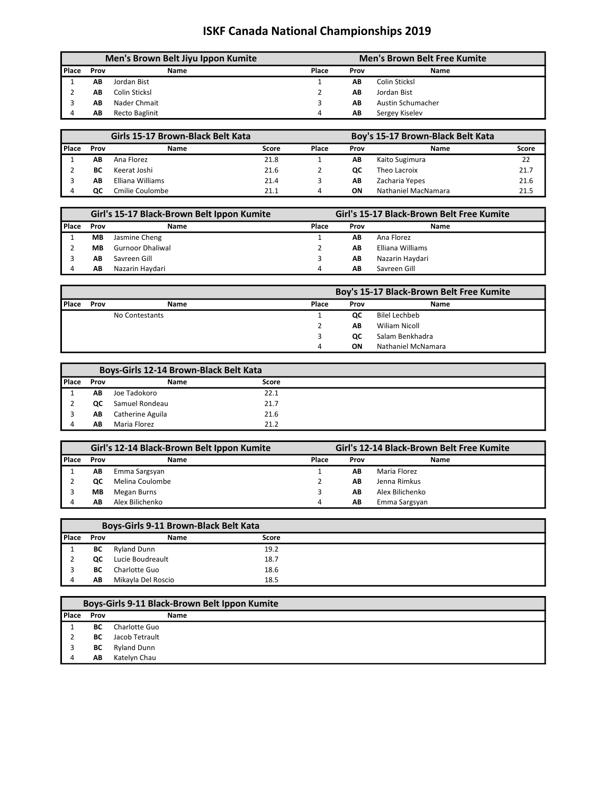|         | Men's Brown Belt Jiyu Ippon Kumite |                       |       | <b>Men's Brown Belt Free Kumite</b> |                   |  |  |
|---------|------------------------------------|-----------------------|-------|-------------------------------------|-------------------|--|--|
| l Place | Prov                               | Name                  | Place | Prov                                | Name              |  |  |
|         | AB                                 | Jordan Bist           |       | AΒ                                  | Colin Sticksl     |  |  |
|         | AΒ                                 | Colin Sticksl         |       | AΒ                                  | Jordan Bist       |  |  |
|         | AΒ                                 | Nader Chmait          |       | AΒ                                  | Austin Schumacher |  |  |
|         | AB                                 | <b>Recto Baglinit</b> | 4     | AB                                  | Sergey Kiseley    |  |  |

| Girls 15-17 Brown-Black Belt Kata |      |                  |       | Boy's 15-17 Brown-Black Belt Kata |      |                     |       |
|-----------------------------------|------|------------------|-------|-----------------------------------|------|---------------------|-------|
| l Place                           | Prov | Name             | Score | Place                             | Prov | Name                | Score |
|                                   | AΒ   | Ana Florez       | 21.8  |                                   | AB   | Kaito Sugimura      | 22    |
|                                   | ВC   | Keerat Joshi     | 21.6  |                                   | QC   | Theo Lacroix        | 21.7  |
|                                   | AΒ   | Elliana Williams | 21.4  |                                   | AB   | Zacharia Yepes      | 21.6  |
|                                   | oc   | Cmilie Coulombe  | 21.1  | 4                                 | ΟN   | Nathaniel MacNamara | 21.5  |

|                | Girl's 15-17 Black-Brown Belt Ippon Kumite |                         |       | Girl's 15-17 Black-Brown Belt Free Kumite |                  |  |  |
|----------------|--------------------------------------------|-------------------------|-------|-------------------------------------------|------------------|--|--|
| <b>I</b> Place | Prov                                       | Name                    | Place | Prov                                      | Name             |  |  |
|                | MВ                                         | Jasmine Cheng           |       | AB                                        | Ana Florez       |  |  |
|                | MВ                                         | <b>Gurnoor Dhaliwal</b> |       | AΒ                                        | Elliana Williams |  |  |
|                | AΒ                                         | Savreen Gill            |       | AΒ                                        | Nazarin Haydari  |  |  |
|                | AΒ                                         | Nazarin Havdari         | Δ     | AΒ                                        | Savreen Gill     |  |  |

|              |      |                |       | Boy's 15-17 Black-Brown Belt Free Kumite |                    |  |  |  |  |
|--------------|------|----------------|-------|------------------------------------------|--------------------|--|--|--|--|
| <b>Place</b> | Prov | Name           | Place | Prov                                     | Name               |  |  |  |  |
|              |      | No Contestants |       | QC                                       | Bilel Lechbeb      |  |  |  |  |
|              |      |                |       | AB                                       | Wiliam Nicoll      |  |  |  |  |
|              |      |                |       | <b>QC</b>                                | Salam Benkhadra    |  |  |  |  |
|              |      |                | 4     | ΟN                                       | Nathaniel McNamara |  |  |  |  |

|                |      | Boys-Girls 12-14 Brown-Black Belt Kata |       |  |
|----------------|------|----------------------------------------|-------|--|
| <b>I</b> Place | Prov | <b>Name</b>                            | Score |  |
|                | AΒ   | Joe Tadokoro                           | 22.1  |  |
|                | QC   | Samuel Rondeau                         | 21.7  |  |
|                | AВ   | Catherine Aguila                       | 21.6  |  |
|                | AΒ   | Maria Florez                           | 21.2  |  |

|              |      | Girl's 12-14 Black-Brown Belt Ippon Kumite | Girl's 12-14 Black-Brown Belt Free Kumite |      |                 |  |
|--------------|------|--------------------------------------------|-------------------------------------------|------|-----------------|--|
| <b>Place</b> | Prov | Name                                       | Place                                     | Prov | Name            |  |
|              | АΒ   | Emma Sargsyan                              |                                           | AB   | Maria Florez    |  |
|              | ОC   | Melina Coulombe                            |                                           | ΑB   | Jenna Rimkus    |  |
|              | MВ   | Megan Burns                                |                                           | AB   | Alex Bilichenko |  |
|              | АΒ   | Alex Bilichenko                            | 4                                         | AB   | Emma Sargsyan   |  |

|         |      | <b>Boys-Girls 9-11 Brown-Black Belt Kata</b> |       |  |
|---------|------|----------------------------------------------|-------|--|
| l Place | Prov | <b>Name</b>                                  | Score |  |
|         | ВC   | <b>Ryland Dunn</b>                           | 19.2  |  |
|         | QC   | Lucie Boudreault                             | 18.7  |  |
|         | ВC   | Charlotte Guo                                | 18.6  |  |
|         | AB   | Mikayla Del Roscio                           | 18.5  |  |

|              | Boys-Girls 9-11 Black-Brown Belt Ippon Kumite |                    |             |  |  |  |  |  |
|--------------|-----------------------------------------------|--------------------|-------------|--|--|--|--|--|
| <b>Place</b> | Prov                                          |                    | <b>Name</b> |  |  |  |  |  |
|              | ВC                                            | Charlotte Guo      |             |  |  |  |  |  |
|              | BС                                            | Jacob Tetrault     |             |  |  |  |  |  |
|              | ВC                                            | <b>Ryland Dunn</b> |             |  |  |  |  |  |
|              | AB                                            | Katelyn Chau       |             |  |  |  |  |  |
|              |                                               |                    |             |  |  |  |  |  |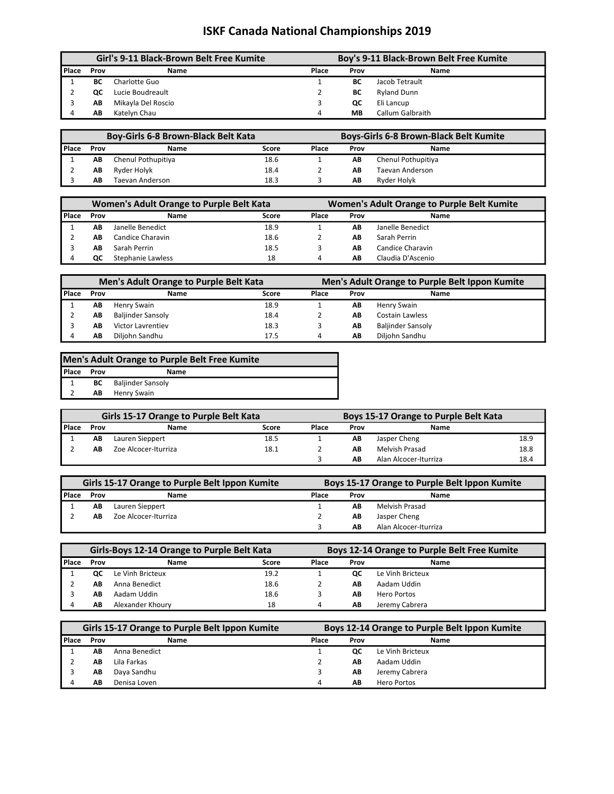| Girl's 9-11 Black-Brown Belt Free Kumite |      |                    |       | Boy's 9-11 Black-Brown Belt Free Kumite |                         |  |  |  |
|------------------------------------------|------|--------------------|-------|-----------------------------------------|-------------------------|--|--|--|
| l Place                                  | Prov | Name               | Place | Prov                                    | <b>Name</b>             |  |  |  |
|                                          | ВC   | Charlotte Guo      |       | ВC                                      | Jacob Tetrault          |  |  |  |
|                                          | ОC   | Lucie Boudreault   |       | BС                                      | <b>Ryland Dunn</b>      |  |  |  |
|                                          | АΒ   | Mikayla Del Roscio |       | QC                                      | Eli Lancup              |  |  |  |
|                                          | AВ   | Katelyn Chau       | 4     | MВ                                      | <b>Callum Galbraith</b> |  |  |  |

|                |      | <b>Boy-Girls 6-8 Brown-Black Belt Kata</b> |       | <b>Boys-Girls 6-8 Brown-Black Belt Kumite</b> |      |                    |
|----------------|------|--------------------------------------------|-------|-----------------------------------------------|------|--------------------|
| <b>I</b> Place | Prov | Name                                       | Score | Place                                         | Prov | Name               |
|                | AB   | Chenul Pothupitiya                         | 18.6  |                                               | AB   | Chenul Pothupitiya |
|                | АΒ   | Ryder Holyk                                | 18.4  |                                               | AВ   | Taevan Anderson    |
|                | AΒ   | Taevan Anderson                            | 18.3  |                                               | AB   | Ryder Holyk        |

|         |      | Women's Adult Orange to Purple Belt Kata |       | <b>Women's Adult Orange to Purple Belt Kumite</b> |      |                   |
|---------|------|------------------------------------------|-------|---------------------------------------------------|------|-------------------|
| l Place | Prov | Name                                     | Score | Place                                             | Prov | Name              |
|         | AΒ   | Janelle Benedict                         | 18.9  |                                                   | AΒ   | Janelle Benedict  |
|         | AΒ   | Candice Charavin                         | 18.6  |                                                   | AB   | Sarah Perrin      |
|         | AΒ   | Sarah Perrin                             | 18.5  |                                                   | AB   | Candice Charavin  |
|         | ОC   | Stephanie Lawless                        | 18    | 4                                                 | AB   | Claudia D'Ascenio |

| Men's Adult Orange to Purple Belt Kata |      |                          |       |               | Men's Adult Orange to Purple Belt Ippon Kumite |                          |  |
|----------------------------------------|------|--------------------------|-------|---------------|------------------------------------------------|--------------------------|--|
| l Place                                | Prov | Name                     | Score | Place<br>Prov |                                                | Name                     |  |
|                                        | AΒ   | Henry Swain              | 18.9  |               | AB                                             | Henry Swain              |  |
|                                        | AB   | <b>Baljinder Sansoly</b> | 18.4  |               | AB                                             | Costain Lawless          |  |
|                                        | AΒ   | <b>Victor Lavrentiev</b> | 18.3  |               | AB                                             | <b>Baljinder Sansoly</b> |  |
|                                        | AB   | Diljohn Sandhu           | 17.5  | 4             | AB                                             | Diljohn Sandhu           |  |

| Men's Adult Orange to Purple Belt Free Kumite |      |                             |  |  |  |  |
|-----------------------------------------------|------|-----------------------------|--|--|--|--|
| Place                                         | Prov | Name                        |  |  |  |  |
|                                               |      | <b>BC</b> Baljinder Sansoly |  |  |  |  |
|                                               | AB   | Henry Swain                 |  |  |  |  |

| <b>Girls 15-17 Orange to Purple Belt Kata</b> |      |                      |       |       | Boys 15-17 Orange to Purple Belt Kata |                       |      |  |
|-----------------------------------------------|------|----------------------|-------|-------|---------------------------------------|-----------------------|------|--|
| l Place                                       | Prov | Name                 | Score | Place | Prov                                  | Name                  |      |  |
|                                               | AB   | Lauren Sieppert      | 18.5  |       | AB                                    | Jasper Cheng          | 18.9 |  |
|                                               | АΒ   | Zoe Alcocer-Iturriza | 18.1  |       | AВ                                    | Melvish Prasad        | 18.8 |  |
|                                               |      |                      |       |       | AB                                    | Alan Alcocer-Iturriza | 18.4 |  |

| Girls 15-17 Orange to Purple Belt Ippon Kumite |      |                      | Boys 15-17 Orange to Purple Belt Ippon Kumite |      |                       |  |
|------------------------------------------------|------|----------------------|-----------------------------------------------|------|-----------------------|--|
| <b>I</b> Place                                 | Prov | Name                 | Place                                         | Prov | Name                  |  |
|                                                | AB   | Lauren Sieppert      |                                               | AΒ   | Melvish Prasad        |  |
|                                                | AΒ   | Zoe Alcocer-Iturriza |                                               | AB   | Jasper Cheng          |  |
|                                                |      |                      |                                               | AB   | Alan Alcocer-Iturriza |  |

|         | Girls-Boys 12-14 Orange to Purple Belt Kata |                  |                                |   | <b>Boys 12-14 Orange to Purple Belt Free Kumite</b> |                  |  |
|---------|---------------------------------------------|------------------|--------------------------------|---|-----------------------------------------------------|------------------|--|
| l Place | Prov                                        | Name             | Place<br>Score<br>Name<br>Prov |   |                                                     |                  |  |
|         | QC                                          | Le Vinh Bricteux | 19.2                           |   | ОC                                                  | Le Vinh Bricteux |  |
|         | AΒ                                          | Anna Benedict    | 18.6                           |   | ΑB                                                  | Aadam Uddin      |  |
|         | AB                                          | Aadam Uddin      | 18.6                           |   | ΑB                                                  | Hero Portos      |  |
|         | AΒ                                          | Alexander Khoury | 18                             | 4 | AΒ                                                  | Jeremy Cabrera   |  |

|       | Girls 15-17 Orange to Purple Belt Ippon Kumite |               |       | Boys 12-14 Orange to Purple Belt Ippon Kumite |                  |  |  |
|-------|------------------------------------------------|---------------|-------|-----------------------------------------------|------------------|--|--|
| Place | Prov                                           | Name          | Place | Prov                                          | Name             |  |  |
|       | АΒ                                             | Anna Benedict |       | <b>QC</b>                                     | Le Vinh Bricteux |  |  |
|       | АΒ                                             | Lila Farkas   |       | AB                                            | Aadam Uddin      |  |  |
|       | АΒ                                             | Daya Sandhu   |       | AВ                                            | Jeremy Cabrera   |  |  |
|       | АΒ                                             | Denisa Loven  | 4     | AB                                            | Hero Portos      |  |  |